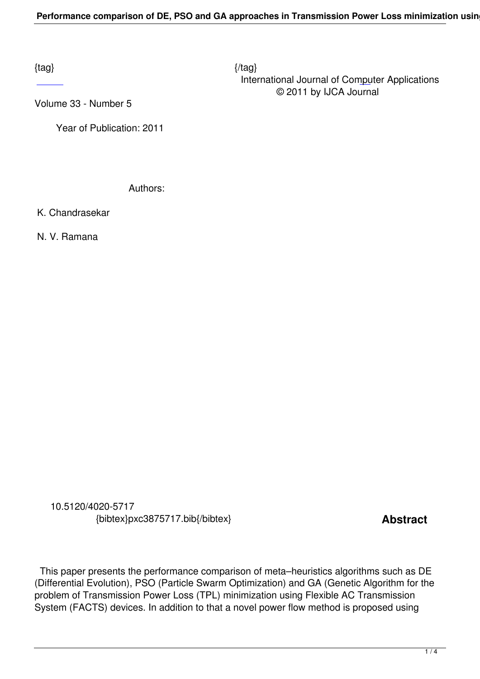$\{tag\}$  International Journal of Computer Applications © 2011 by IJCA Journal

Volume 33 - Number 5

 [Ye](http://research.ijcaonline.org/volume33/number5/pxc3875717.pdf)ar of Publication: 2011

Authors:

K. Chandrasekar

N. V. Ramana

 10.5120/4020-5717 {bibtex}pxc3875717.bib{/bibtex} **Abstract** 

 This paper presents the performance comparison of meta–heuristics algorithms such as DE (Differential Evolution), PSO (Particle Swarm Optimization) and GA (Genetic Algorithm for the problem of Transmission Power Loss (TPL) minimization using Flexible AC Transmission System (FACTS) devices. In addition to that a novel power flow method is proposed using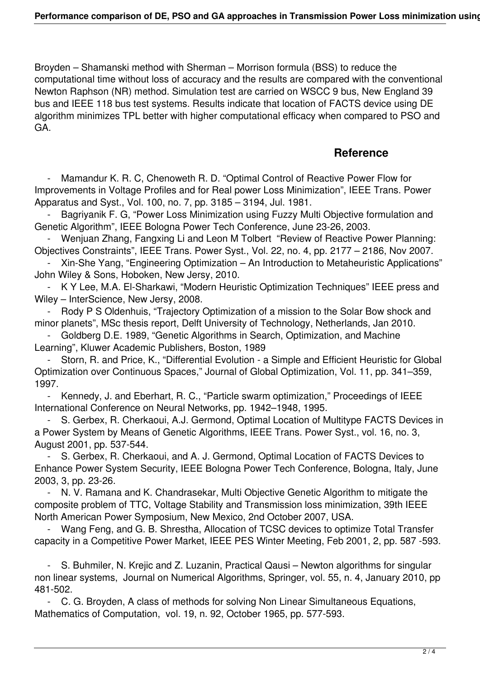Broyden – Shamanski method with Sherman – Morrison formula (BSS) to reduce the computational time without loss of accuracy and the results are compared with the conventional Newton Raphson (NR) method. Simulation test are carried on WSCC 9 bus, New England 39 bus and IEEE 118 bus test systems. Results indicate that location of FACTS device using DE algorithm minimizes TPL better with higher computational efficacy when compared to PSO and GA.

## **Reference**

Mamandur K. R. C, Chenoweth R. D. "Optimal Control of Reactive Power Flow for Improvements in Voltage Profiles and for Real power Loss Minimization", IEEE Trans. Power Apparatus and Syst., Vol. 100, no. 7, pp. 3185 – 3194, Jul. 1981.

Bagriyanik F. G, "Power Loss Minimization using Fuzzy Multi Objective formulation and Genetic Algorithm", IEEE Bologna Power Tech Conference, June 23-26, 2003.

 - Wenjuan Zhang, Fangxing Li and Leon M Tolbert "Review of Reactive Power Planning: Objectives Constraints", IEEE Trans. Power Syst., Vol. 22, no. 4, pp. 2177 – 2186, Nov 2007.

 - Xin-She Yang, "Engineering Optimization – An Introduction to Metaheuristic Applications" John Wiley & Sons, Hoboken, New Jersy, 2010.

 - K Y Lee, M.A. El-Sharkawi, "Modern Heuristic Optimization Techniques" IEEE press and Wiley – InterScience, New Jersy, 2008.

 - Rody P S Oldenhuis, "Trajectory Optimization of a mission to the Solar Bow shock and minor planets", MSc thesis report, Delft University of Technology, Netherlands, Jan 2010.

 - Goldberg D.E. 1989, "Genetic Algorithms in Search, Optimization, and Machine Learning", Kluwer Academic Publishers, Boston, 1989

 - Storn, R. and Price, K., "Differential Evolution - a Simple and Efficient Heuristic for Global Optimization over Continuous Spaces," Journal of Global Optimization, Vol. 11, pp. 341–359, 1997.

 - Kennedy, J. and Eberhart, R. C., "Particle swarm optimization," Proceedings of IEEE International Conference on Neural Networks, pp. 1942–1948, 1995.

 - S. Gerbex, R. Cherkaoui, A.J. Germond, Optimal Location of Multitype FACTS Devices in a Power System by Means of Genetic Algorithms, IEEE Trans. Power Syst., vol. 16, no. 3, August 2001, pp. 537-544.

 - S. Gerbex, R. Cherkaoui, and A. J. Germond, Optimal Location of FACTS Devices to Enhance Power System Security, IEEE Bologna Power Tech Conference, Bologna, Italy, June 2003, 3, pp. 23-26.

N. V. Ramana and K. Chandrasekar, Multi Objective Genetic Algorithm to mitigate the composite problem of TTC, Voltage Stability and Transmission loss minimization, 39th IEEE North American Power Symposium, New Mexico, 2nd October 2007, USA.

Wang Feng, and G. B. Shrestha, Allocation of TCSC devices to optimize Total Transfer capacity in a Competitive Power Market, IEEE PES Winter Meeting, Feb 2001, 2, pp. 587 -593.

 - S. Buhmiler, N. Krejic and Z. Luzanin, Practical Qausi – Newton algorithms for singular non linear systems, Journal on Numerical Algorithms, Springer, vol. 55, n. 4, January 2010, pp 481-502.

 - C. G. Broyden, A class of methods for solving Non Linear Simultaneous Equations, Mathematics of Computation, vol. 19, n. 92, October 1965, pp. 577-593.